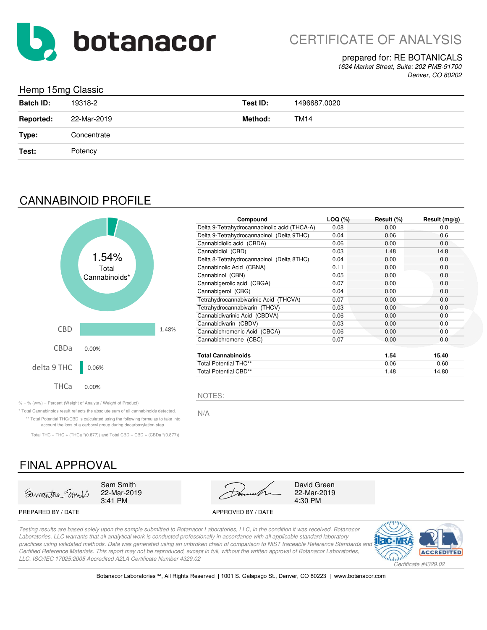

#### prepared for: RE BOTANICALS

*1624 Market Street, Suite: 202 PMB-91700 Denver, CO 80202*

### Hemp 15mg Classic

| and the contract of the contract of the | ັ           |          |              |
|-----------------------------------------|-------------|----------|--------------|
| <b>Batch ID:</b>                        | 19318-2     | Test ID: | 1496687.0020 |
| <b>Reported:</b>                        | 22-Mar-2019 | Method:  | TM14         |
| Type:                                   | Concentrate |          |              |
| Test:                                   | Potency     |          |              |

## CANNABINOID PROFILE



| Compound                                     | LOG (%) | Result (%) | Result $(mg/g)$ |
|----------------------------------------------|---------|------------|-----------------|
| Delta 9-Tetrahydrocannabinolic acid (THCA-A) | 0.08    | 0.00       | 0.0             |
| Delta 9-Tetrahydrocannabinol (Delta 9THC)    | 0.04    | 0.06       | 0.6             |
| Cannabidiolic acid (CBDA)                    | 0.06    | 0.00       | 0.0             |
| Cannabidiol (CBD)                            | 0.03    | 1.48       | 14.8            |
| Delta 8-Tetrahydrocannabinol (Delta 8THC)    | 0.04    | 0.00       | 0.0             |
| Cannabinolic Acid (CBNA)                     | 0.11    | 0.00       | 0.0             |
| Cannabinol (CBN)                             | 0.05    | 0.00       | 0.0             |
| Cannabigerolic acid (CBGA)                   | 0.07    | 0.00       | 0.0             |
| Cannabigerol (CBG)                           | 0.04    | 0.00       | 0.0             |
| Tetrahydrocannabivarinic Acid (THCVA)        | 0.07    | 0.00       | 0.0             |
| Tetrahydrocannabivarin (THCV)                | 0.03    | 0.00       | 0.0             |
| Cannabidivarinic Acid (CBDVA)                | 0.06    | 0.00       | 0.0             |
| Cannabidivarin (CBDV)                        | 0.03    | 0.00       | 0.0             |
| Cannabichromenic Acid (CBCA)                 | 0.06    | 0.00       | 0.0             |
| Cannabichromene (CBC)                        | 0.07    | 0.00       | 0.0             |
| <b>Total Cannabinoids</b>                    |         | 1.54       | 15.40           |
| <b>Total Potential THC**</b>                 |         | 0.06       | 0.60            |
| <b>Total Potential CBD**</b>                 |         | 1.48       | 14.80           |

 $\% = \%$  (w/w) = Percent (Weight of Analyte / Weight of Product)

\* Total Cannabinoids result reflects the absolute sum of all cannabinoids detected. N/A \*\* Total Potential THC/CBD is calculated using the following formulas to take into account the loss of a carboxyl group during decarboxylation step.

Total THC = THC + (THCa  $*(0.877)$ ) and Total CBD = CBD + (CBDa  $*(0.877)$ )

### FINAL APPROVAL





#### PREPARED BY / DATE APPROVED BY / DATE

*Testing results are based solely upon the sample submitted to Botanacor Laboratories, LLC, in the condition it was received. Botanacor Laboratories, LLC warrants that all analytical work is conducted professionally in accordance with all applicable standard laboratory*  practices using validated methods. Data was generated using an unbroken chain of comparison to NIST traceable Reference Standards and *Certified Reference Materials. This report may not be reproduced, except in full, without the written approval of Botanacor Laboratories, LLC. ISO/IEC 17025:2005 Accredited A2LA Certificate Number 4329.02*

NOTES:



Botanacor Laboratories™, All Rights Reserved | 1001 S. Galapago St., Denver, CO 80223 | www.botanacor.com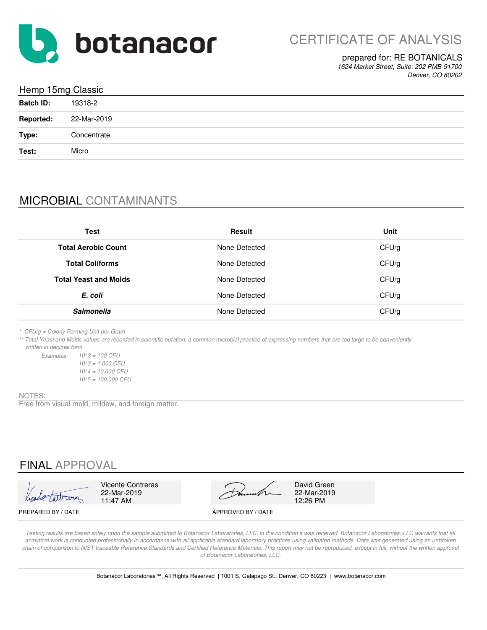

#### prepared for: RE BOTANICALS

*1624 Market Street, Suite: 202 PMB-91700 Denver, CO 80202*

| Hemp 15mg Classic |             |  |
|-------------------|-------------|--|
| <b>Batch ID:</b>  | 19318-2     |  |
| <b>Reported:</b>  | 22-Mar-2019 |  |
| Type:             | Concentrate |  |
| Test:             | Micro       |  |

## MICROBIAL CONTAMINANTS

| Test                         | Result        | Unit  |
|------------------------------|---------------|-------|
| <b>Total Aerobic Count</b>   | None Detected | CFU/g |
| <b>Total Coliforms</b>       | None Detected | CFU/g |
| <b>Total Yeast and Molds</b> | None Detected | CFU/g |
| E. coli                      | None Detected | CFU/g |
| <b>Salmonella</b>            | None Detected | CFU/g |

*\* CFU/g = Colony Forming Unit per Gram*

*\*\* Total Yeast and Molds values are recorded in scientific notation, a common microbial practice of expressing numbers that are too large to be conveniently written in decimal form.*

*Examples: 10^2 = 100 CFU 10^5 = 100,000 CFU 10^3 = 1,000 CFU 10^4 = 10,000 CFU*

#### NOTES:

Free from visual mold, mildew, and foreign matter.

### FINAL APPROVAL

| Leade tartroom |  |
|----------------|--|

11:47 AM



PREPARED BY / DATE APPROVED BY / DATE



*Testing results are based solely upon the sample submitted to Botanacor Laboratories, LLC, in the condition it was received. Botanacor Laboratories, LLC warrants that all*  analytical work is conducted professionally in accordance with all applicable standard laboratory practices using validated methods. Data was generated using an unbroken chain of comparison to NIST traceable Reference Standards and Certified Reference Materials. This report may not be reproduced, except in full, without the written approval *of Botanacor Laboratories, LLC.*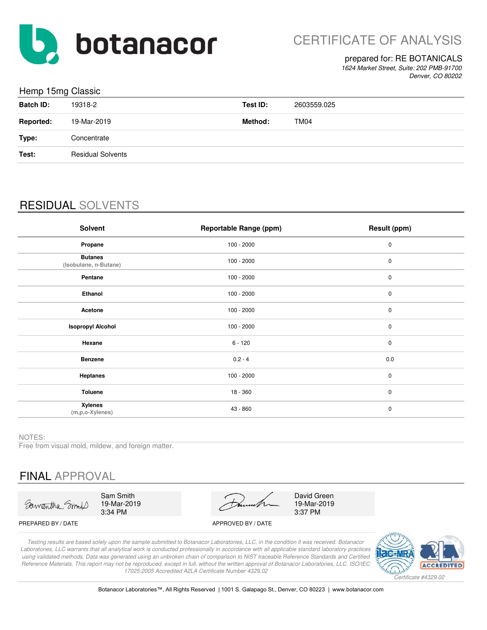

#### prepared for: RE BOTANICALS

*1624 Market Street, Suite: 202 PMB-91700 Denver, CO 80202*

#### Hemp 15mg Classic

| <b>Batch ID:</b> | 19318-2                  | Test ID: | 2603559.025 |
|------------------|--------------------------|----------|-------------|
| <b>Reported:</b> | 19-Mar-2019              | Method:  | TM04        |
| Type:            | Concentrate              |          |             |
| Test:            | <b>Residual Solvents</b> |          |             |
|                  |                          |          |             |

## RESIDUAL SOLVENTS

| <b>Solvent</b>                            | <b>Reportable Range (ppm)</b> | Result (ppm) |
|-------------------------------------------|-------------------------------|--------------|
| Propane                                   | $100 - 2000$                  | $\pmb{0}$    |
| <b>Butanes</b><br>(Isobutane, n-Butane)   | $100 - 2000$                  | $\pmb{0}$    |
| Pentane                                   | $100 - 2000$                  | $\pmb{0}$    |
| Ethanol                                   | $100 - 2000$                  | $\pmb{0}$    |
| Acetone                                   | $100 - 2000$                  | $\pmb{0}$    |
| <b>Isopropyl Alcohol</b>                  | $100 - 2000$                  | $\pmb{0}$    |
| Hexane                                    | $6 - 120$                     | $\pmb{0}$    |
| <b>Benzene</b>                            | $0.2 - 4$                     | 0.0          |
| <b>Heptanes</b>                           | $100 - 2000$                  | $\pmb{0}$    |
| Toluene                                   | $18 - 360$                    | $\pmb{0}$    |
| <b>Xylenes</b><br>$(m, p, o-X$ ylenes $)$ | 43 - 860                      | $\pmb{0}$    |

NOTES:

Free from visual mold, mildew, and foreign matter.

# FINAL APPROVAL

Samantha Smort

Sam Smith 19-Mar-2019 3:34 PM

19-Mar-2019 3:37 PM David Green

PREPARED BY / DATE APPROVED BY / DATE

*Testing results are based solely upon the sample submitted to Botanacor Laboratories, LLC, in the condition it was received. Botanacor Laboratories, LLC warrants that all analytical work is conducted professionally in accordance with all applicable standard laboratory practices using validated methods. Data was generated using an unbroken chain of comparison to NIST traceable Reference Standards and Certified Reference Materials. This report may not be reproduced, except in full, without the written approval of Botanacor Laboratories, LLC. ISO/IEC 17025:2005 Accredited A2LA Certificate Number 4329.02*

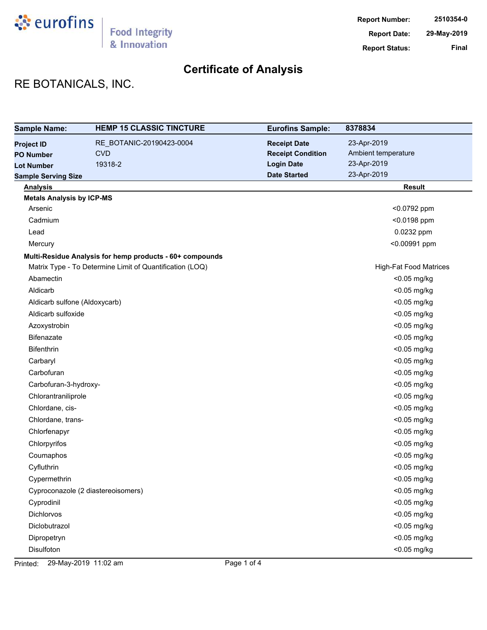

# RE BOTANICALS, INC.

| <b>Sample Name:</b>              | <b>HEMP 15 CLASSIC TINCTURE</b>                          | <b>Eurofins Sample:</b>  | 8378834                       |
|----------------------------------|----------------------------------------------------------|--------------------------|-------------------------------|
| <b>Project ID</b>                | RE_BOTANIC-20190423-0004                                 | <b>Receipt Date</b>      | 23-Apr-2019                   |
| <b>PO Number</b>                 | <b>CVD</b>                                               | <b>Receipt Condition</b> | Ambient temperature           |
| <b>Lot Number</b>                | 19318-2                                                  | <b>Login Date</b>        | 23-Apr-2019                   |
| <b>Sample Serving Size</b>       |                                                          | <b>Date Started</b>      | 23-Apr-2019                   |
| <b>Analysis</b>                  |                                                          |                          | <b>Result</b>                 |
| <b>Metals Analysis by ICP-MS</b> |                                                          |                          |                               |
| Arsenic                          |                                                          |                          | <0.0792 ppm                   |
| Cadmium                          |                                                          |                          | <0.0198 ppm                   |
| Lead                             |                                                          |                          | 0.0232 ppm                    |
| Mercury                          |                                                          |                          | <0.00991 ppm                  |
|                                  | Multi-Residue Analysis for hemp products - 60+ compounds |                          |                               |
|                                  | Matrix Type - To Determine Limit of Quantification (LOQ) |                          | <b>High-Fat Food Matrices</b> |
| Abamectin                        |                                                          |                          | <0.05 mg/kg                   |
| Aldicarb                         |                                                          |                          | <0.05 mg/kg                   |
| Aldicarb sulfone (Aldoxycarb)    |                                                          |                          | <0.05 mg/kg                   |
| Aldicarb sulfoxide               |                                                          |                          | <0.05 mg/kg                   |
| Azoxystrobin                     |                                                          |                          | <0.05 mg/kg                   |
| Bifenazate                       |                                                          |                          | <0.05 mg/kg                   |
| Bifenthrin                       |                                                          |                          | <0.05 mg/kg                   |
| Carbaryl                         |                                                          |                          | <0.05 mg/kg                   |
| Carbofuran                       |                                                          |                          | <0.05 mg/kg                   |
| Carbofuran-3-hydroxy-            |                                                          |                          | <0.05 mg/kg                   |
| Chlorantraniliprole              |                                                          |                          | <0.05 mg/kg                   |
| Chlordane, cis-                  |                                                          |                          | <0.05 mg/kg                   |
| Chlordane, trans-                |                                                          |                          | <0.05 mg/kg                   |
| Chlorfenapyr                     |                                                          |                          | <0.05 mg/kg                   |
| Chlorpyrifos                     |                                                          |                          | <0.05 mg/kg                   |
| Coumaphos                        |                                                          |                          | <0.05 mg/kg                   |
| Cyfluthrin                       |                                                          |                          | <0.05 mg/kg                   |
| Cypermethrin                     |                                                          |                          | <0.05 mg/kg                   |
|                                  | Cyproconazole (2 diastereoisomers)                       |                          | <0.05 mg/kg                   |
| Cyprodinil                       |                                                          |                          | <0.05 mg/kg                   |
| <b>Dichlorvos</b>                |                                                          |                          | <0.05 mg/kg                   |
| Diclobutrazol                    |                                                          |                          | <0.05 mg/kg                   |
| Dipropetryn                      |                                                          |                          | <0.05 mg/kg                   |
| Disulfoton                       |                                                          |                          | <0.05 mg/kg                   |

Printed: 29-May-2019 11:02 am Page 1 of 4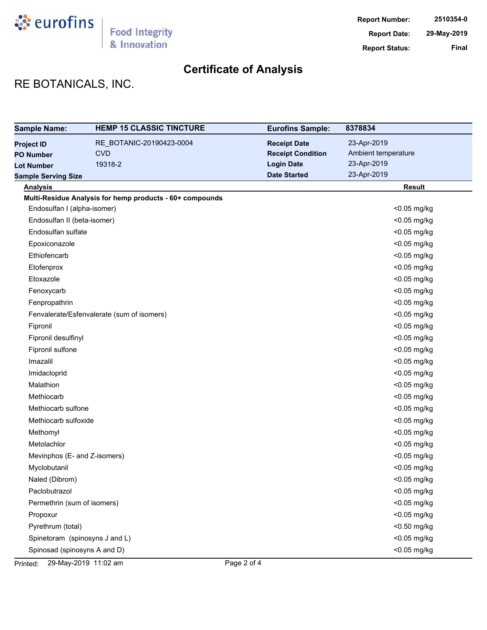

# RE BOTANICALS, INC.

| <b>Sample Name:</b>            | <b>HEMP 15 CLASSIC TINCTURE</b>                          | <b>Eurofins Sample:</b>  | 8378834             |
|--------------------------------|----------------------------------------------------------|--------------------------|---------------------|
| <b>Project ID</b>              | RE BOTANIC-20190423-0004                                 | <b>Receipt Date</b>      | 23-Apr-2019         |
| <b>PO Number</b>               | <b>CVD</b>                                               | <b>Receipt Condition</b> | Ambient temperature |
| <b>Lot Number</b>              | 19318-2                                                  | <b>Login Date</b>        | 23-Apr-2019         |
| <b>Sample Serving Size</b>     |                                                          | <b>Date Started</b>      | 23-Apr-2019         |
| <b>Analysis</b>                |                                                          |                          | <b>Result</b>       |
|                                | Multi-Residue Analysis for hemp products - 60+ compounds |                          |                     |
| Endosulfan I (alpha-isomer)    |                                                          |                          | <0.05 mg/kg         |
| Endosulfan II (beta-isomer)    |                                                          |                          | <0.05 mg/kg         |
| Endosulfan sulfate             |                                                          |                          | <0.05 mg/kg         |
| Epoxiconazole                  |                                                          |                          | <0.05 mg/kg         |
| Ethiofencarb                   |                                                          |                          | <0.05 mg/kg         |
| Etofenprox                     |                                                          |                          | <0.05 mg/kg         |
| Etoxazole                      |                                                          |                          | <0.05 mg/kg         |
| Fenoxycarb                     |                                                          |                          | <0.05 mg/kg         |
| Fenpropathrin                  |                                                          |                          | <0.05 mg/kg         |
|                                | Fenvalerate/Esfenvalerate (sum of isomers)               |                          | <0.05 mg/kg         |
| Fipronil                       |                                                          |                          | <0.05 mg/kg         |
| Fipronil desulfinyl            |                                                          |                          | <0.05 mg/kg         |
| Fipronil sulfone               |                                                          |                          | <0.05 mg/kg         |
| Imazalil                       |                                                          |                          | <0.05 mg/kg         |
| Imidacloprid                   |                                                          |                          | <0.05 mg/kg         |
| Malathion                      |                                                          |                          | <0.05 mg/kg         |
| Methiocarb                     |                                                          |                          | <0.05 mg/kg         |
| Methiocarb sulfone             |                                                          |                          | <0.05 mg/kg         |
| Methiocarb sulfoxide           |                                                          |                          | <0.05 mg/kg         |
| Methomyl                       |                                                          |                          | <0.05 mg/kg         |
| Metolachlor                    |                                                          |                          | <0.05 mg/kg         |
| Mevinphos (E- and Z-isomers)   |                                                          |                          | <0.05 mg/kg         |
| Myclobutanil                   |                                                          |                          | <0.05 mg/kg         |
| Naled (Dibrom)                 |                                                          |                          | <0.05 mg/kg         |
| Paclobutrazol                  |                                                          |                          | <0.05 mg/kg         |
| Permethrin (sum of isomers)    |                                                          |                          | <0.05 mg/kg         |
| Propoxur                       |                                                          |                          | <0.05 mg/kg         |
| Pyrethrum (total)              |                                                          |                          | <0.50 mg/kg         |
| Spinetoram (spinosyns J and L) |                                                          |                          | <0.05 mg/kg         |
| Spinosad (spinosyns A and D)   |                                                          |                          | <0.05 mg/kg         |

Printed: 29-May-2019 11:02 am Page 2 of 4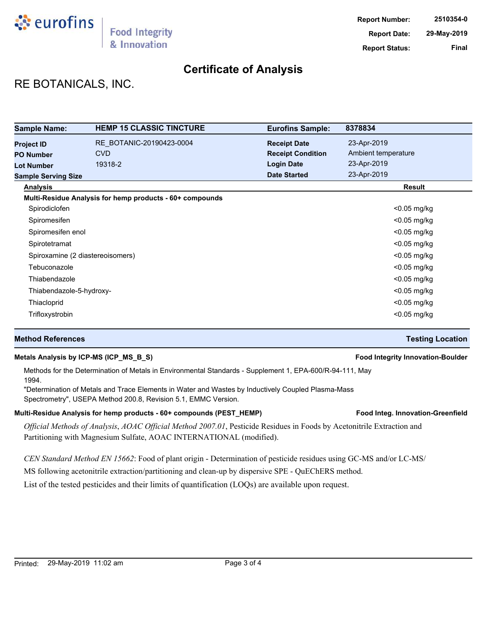

## RE BOTANICALS, INC.

| <b>Sample Name:</b>              | <b>HEMP 15 CLASSIC TINCTURE</b>                          | <b>Eurofins Sample:</b>  | 8378834             |
|----------------------------------|----------------------------------------------------------|--------------------------|---------------------|
| <b>Project ID</b>                | RE BOTANIC-20190423-0004                                 | <b>Receipt Date</b>      | 23-Apr-2019         |
| <b>PO Number</b>                 | <b>CVD</b>                                               | <b>Receipt Condition</b> | Ambient temperature |
| <b>Lot Number</b>                | 19318-2                                                  | <b>Login Date</b>        | 23-Apr-2019         |
| <b>Sample Serving Size</b>       |                                                          | <b>Date Started</b>      | 23-Apr-2019         |
| <b>Analysis</b>                  |                                                          |                          | Result              |
|                                  | Multi-Residue Analysis for hemp products - 60+ compounds |                          |                     |
| Spirodiclofen                    |                                                          |                          | $<$ 0.05 mg/kg      |
| Spiromesifen                     |                                                          |                          | $<$ 0.05 mg/kg      |
| Spiromesifen enol                |                                                          |                          | $<$ 0.05 mg/kg      |
| Spirotetramat                    |                                                          |                          | <0.05 mg/kg         |
| Spiroxamine (2 diastereoisomers) |                                                          |                          | $<$ 0.05 mg/kg      |
| Tebuconazole                     |                                                          |                          | $<$ 0.05 mg/kg      |
| Thiabendazole                    |                                                          |                          | $<$ 0.05 mg/kg      |
| Thiabendazole-5-hydroxy-         |                                                          |                          | <0.05 mg/kg         |
| Thiacloprid                      |                                                          |                          | $<$ 0.05 mg/kg      |
| Trifloxystrobin                  |                                                          |                          | $<$ 0.05 mg/kg      |

#### **Method References Testing Location**

#### **Metals Analysis by ICP-MS (ICP\_MS\_B\_S) Food Integrity Innovation-Boulder**

Methods for the Determination of Metals in Environmental Standards - Supplement 1, EPA-600/R-94-111, May 1994.

"Determination of Metals and Trace Elements in Water and Wastes by Inductively Coupled Plasma-Mass Spectrometry", USEPA Method 200.8, Revision 5.1, EMMC Version.

#### Multi-Residue Analysis for hemp products - 60+ compounds (PEST\_HEMP) **Food Integ. Innovation-Greenfield**

*Official Methods of Analysis*, *AOAC Official Method 2007.01*, Pesticide Residues in Foods by Acetonitrile Extraction and Partitioning with Magnesium Sulfate, AOAC INTERNATIONAL (modified).

*CEN Standard Method EN 15662*: Food of plant origin - Determination of pesticide residues using GC-MS and/or LC-MS/

MS following acetonitrile extraction/partitioning and clean-up by dispersive SPE - QuEChERS method.

List of the tested pesticides and their limits of quantification (LOQs) are available upon request.